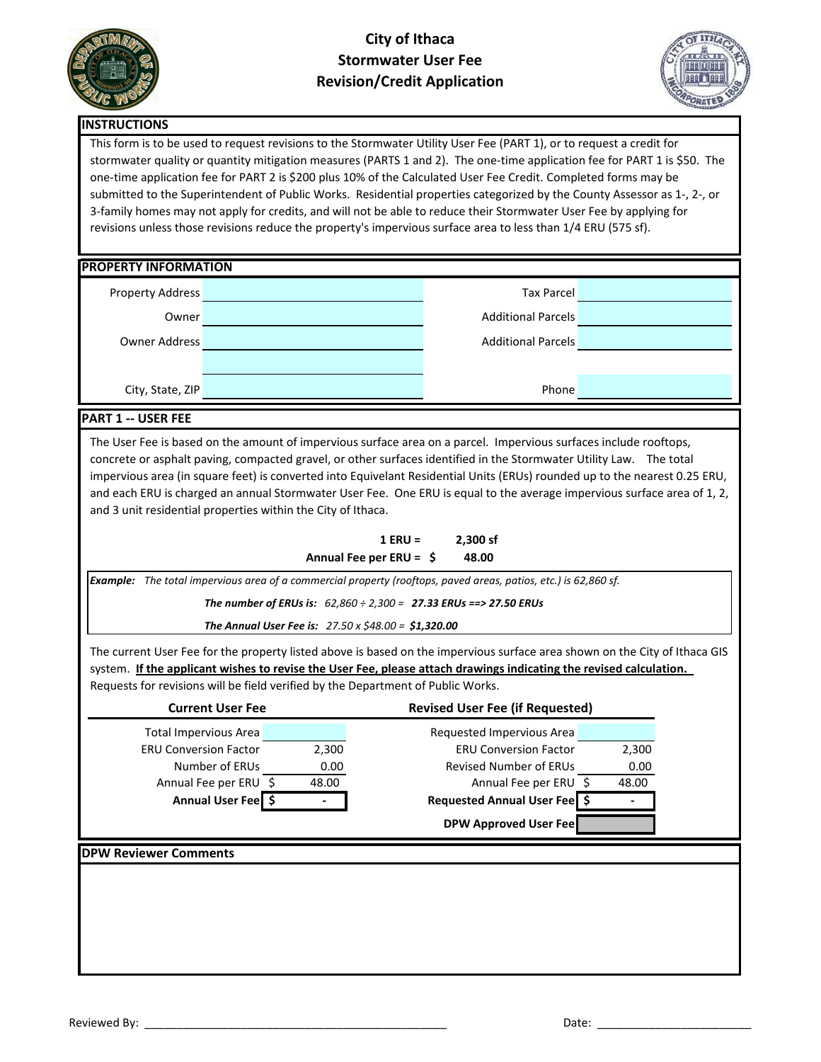

## **City of Ithaca Stormwater User Fee Revision/Credit Application**



### **INSTRUCTIONS**

This form is to be used to request revisions to the Stormwater Utility User Fee (PART 1), or to request a credit for stormwater quality or quantity mitigation measures (PARTS 1 and 2). The one-time application fee for PART 1 is \$50. The one-time application fee for PART 2 is \$200 plus 10% of the Calculated User Fee Credit. Completed forms may be submitted to the Superintendent of Public Works. Residential properties categorized by the County Assessor as 1-, 2-, or 3-family homes may not apply for credits, and will not be able to reduce their Stormwater User Fee by applying for revisions unless those revisions reduce the property's impervious surface area to less than 1/4 ERU (575 sf).

#### **PROPERTY INFORMATION**

| <b>Property Address</b> | <b>Tax Parcel</b>         |  |
|-------------------------|---------------------------|--|
| Owner                   | <b>Additional Parcels</b> |  |
| Owner Address           | <b>Additional Parcels</b> |  |
|                         |                           |  |
| City, State, ZIP        | Phone                     |  |

### **PART 1 -- USER FEE**

The User Fee is based on the amount of impervious surface area on a parcel. Impervious surfaces include rooftops, concrete or asphalt paving, compacted gravel, or other surfaces identified in the Stormwater Utility Law. The total impervious area (in square feet) is converted into Equivelant Residential Units (ERUs) rounded up to the nearest 0.25 ERU, and each ERU is charged an annual Stormwater User Fee. One ERU is equal to the average impervious surface area of 1, 2, and 3 unit residential properties within the City of Ithaca.

| $1$ ERU =                 | 2,300 sf |
|---------------------------|----------|
| Annual Fee per $ERU =$ \$ | 48.00    |

*Example: The total impervious area of a commercial property (rooftops, paved areas, patios, etc.) is 62,860 sf.* 

*The number of ERUs is: 62,860 ÷ 2,300 = 27.33 ERUs ==> 27.50 ERUs*

*The Annual User Fee is: 27.50 x \$48.00 = \$1,320.00*

The current User Fee for the property listed above is based on the impervious surface area shown on the City of Ithaca GIS system. **If the applicant wishes to revise the User Fee, please attach drawings indicating the revised calculation.**  Requests for revisions will be field verified by the Department of Public Works.

| <b>Current User Fee</b>      |       | <b>Revised User Fee (if Requested)</b> |
|------------------------------|-------|----------------------------------------|
| <b>Total Impervious Area</b> |       | Requested Impervious Area              |
| <b>ERU Conversion Factor</b> | 2,300 | <b>ERU Conversion Factor</b><br>2,300  |
| Number of ERUs               | 0.00  | <b>Revised Number of ERUs</b><br>0.00  |
| Annual Fee per ERU \$        | 48.00 | Annual Fee per ERU \$<br>48.00         |
| Annual User Fee              |       | Requested Annual User Fee              |
|                              |       |                                        |
|                              |       | <b>DPW Approved User Fee</b>           |
|                              |       |                                        |
|                              |       |                                        |
|                              |       |                                        |
|                              |       |                                        |
| <b>DPW Reviewer Comments</b> |       |                                        |
|                              |       |                                        |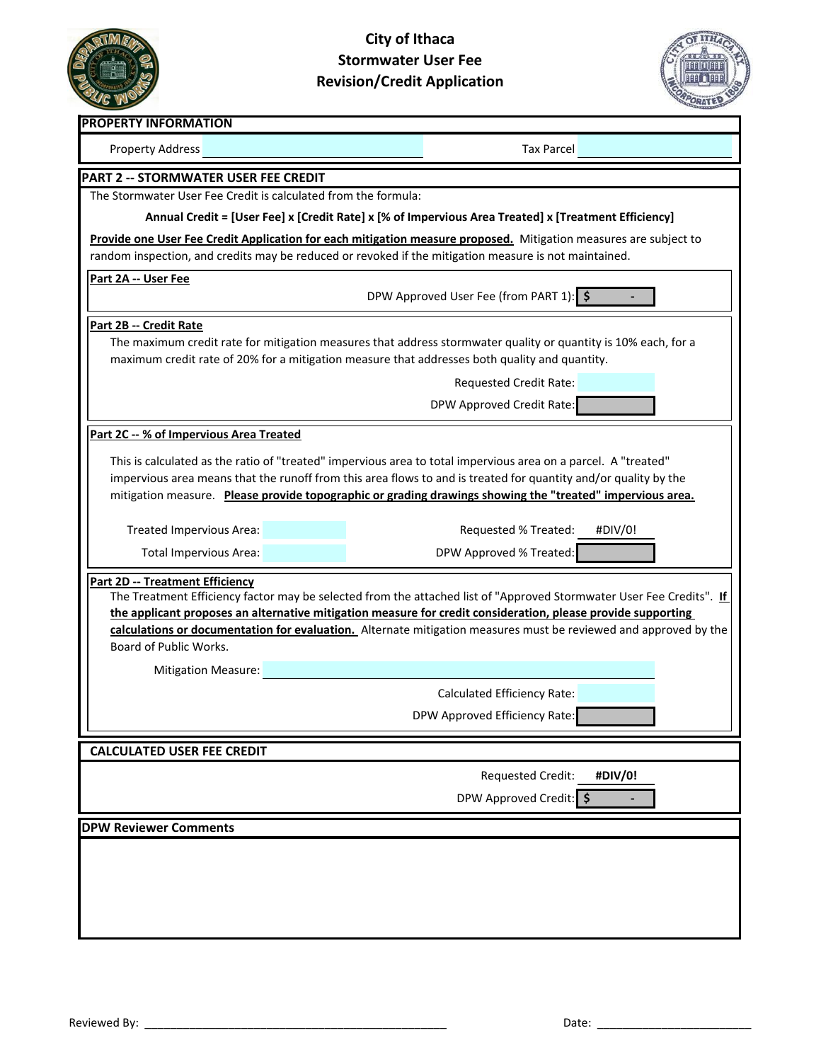

# **City of Ithaca Stormwater User Fee Revision/Credit Application**



| <b>PROPERTY INFORMATION</b>                                                                                                                                                                                     |                                                                                                                                                                                                                                                                                                                                                                                                                                                                                                                                                                                                                                                                                                                                                                                                                                                |  |  |  |  |  |  |  |
|-----------------------------------------------------------------------------------------------------------------------------------------------------------------------------------------------------------------|------------------------------------------------------------------------------------------------------------------------------------------------------------------------------------------------------------------------------------------------------------------------------------------------------------------------------------------------------------------------------------------------------------------------------------------------------------------------------------------------------------------------------------------------------------------------------------------------------------------------------------------------------------------------------------------------------------------------------------------------------------------------------------------------------------------------------------------------|--|--|--|--|--|--|--|
| <b>Property Address</b>                                                                                                                                                                                         | <b>Tax Parcel</b>                                                                                                                                                                                                                                                                                                                                                                                                                                                                                                                                                                                                                                                                                                                                                                                                                              |  |  |  |  |  |  |  |
| <b>PART 2 -- STORMWATER USER FEE CREDIT</b>                                                                                                                                                                     |                                                                                                                                                                                                                                                                                                                                                                                                                                                                                                                                                                                                                                                                                                                                                                                                                                                |  |  |  |  |  |  |  |
| The Stormwater User Fee Credit is calculated from the formula:                                                                                                                                                  |                                                                                                                                                                                                                                                                                                                                                                                                                                                                                                                                                                                                                                                                                                                                                                                                                                                |  |  |  |  |  |  |  |
| Annual Credit = [User Fee] x [Credit Rate] x [% of Impervious Area Treated] x [Treatment Efficiency]                                                                                                            |                                                                                                                                                                                                                                                                                                                                                                                                                                                                                                                                                                                                                                                                                                                                                                                                                                                |  |  |  |  |  |  |  |
| Provide one User Fee Credit Application for each mitigation measure proposed. Mitigation measures are subject to                                                                                                |                                                                                                                                                                                                                                                                                                                                                                                                                                                                                                                                                                                                                                                                                                                                                                                                                                                |  |  |  |  |  |  |  |
| random inspection, and credits may be reduced or revoked if the mitigation measure is not maintained.                                                                                                           |                                                                                                                                                                                                                                                                                                                                                                                                                                                                                                                                                                                                                                                                                                                                                                                                                                                |  |  |  |  |  |  |  |
| Part 2A -- User Fee<br>DPW Approved User Fee (from PART 1): \$                                                                                                                                                  |                                                                                                                                                                                                                                                                                                                                                                                                                                                                                                                                                                                                                                                                                                                                                                                                                                                |  |  |  |  |  |  |  |
| Part 2B -- Credit Rate                                                                                                                                                                                          |                                                                                                                                                                                                                                                                                                                                                                                                                                                                                                                                                                                                                                                                                                                                                                                                                                                |  |  |  |  |  |  |  |
| The maximum credit rate for mitigation measures that address stormwater quality or quantity is 10% each, for a<br>maximum credit rate of 20% for a mitigation measure that addresses both quality and quantity. |                                                                                                                                                                                                                                                                                                                                                                                                                                                                                                                                                                                                                                                                                                                                                                                                                                                |  |  |  |  |  |  |  |
|                                                                                                                                                                                                                 | <b>Requested Credit Rate:</b>                                                                                                                                                                                                                                                                                                                                                                                                                                                                                                                                                                                                                                                                                                                                                                                                                  |  |  |  |  |  |  |  |
|                                                                                                                                                                                                                 | DPW Approved Credit Rate:                                                                                                                                                                                                                                                                                                                                                                                                                                                                                                                                                                                                                                                                                                                                                                                                                      |  |  |  |  |  |  |  |
| Part 2C -- % of Impervious Area Treated                                                                                                                                                                         |                                                                                                                                                                                                                                                                                                                                                                                                                                                                                                                                                                                                                                                                                                                                                                                                                                                |  |  |  |  |  |  |  |
| Treated Impervious Area:<br><b>Total Impervious Area:</b><br>Part 2D -- Treatment Efficiency<br>Board of Public Works.<br><b>Mitigation Measure:</b>                                                            | This is calculated as the ratio of "treated" impervious area to total impervious area on a parcel. A "treated"<br>impervious area means that the runoff from this area flows to and is treated for quantity and/or quality by the<br>mitigation measure. Please provide topographic or grading drawings showing the "treated" impervious area.<br>Requested % Treated:<br>#DIV/0!<br>DPW Approved % Treated:<br>The Treatment Efficiency factor may be selected from the attached list of "Approved Stormwater User Fee Credits". If<br>the applicant proposes an alternative mitigation measure for credit consideration, please provide supporting<br>calculations or documentation for evaluation. Alternate mitigation measures must be reviewed and approved by the<br><b>Calculated Efficiency Rate:</b><br>DPW Approved Efficiency Rate |  |  |  |  |  |  |  |
| <b>CALCULATED USER FEE CREDIT</b>                                                                                                                                                                               |                                                                                                                                                                                                                                                                                                                                                                                                                                                                                                                                                                                                                                                                                                                                                                                                                                                |  |  |  |  |  |  |  |
|                                                                                                                                                                                                                 | Requested Credit:<br>#DIV/0!                                                                                                                                                                                                                                                                                                                                                                                                                                                                                                                                                                                                                                                                                                                                                                                                                   |  |  |  |  |  |  |  |
|                                                                                                                                                                                                                 | DPW Approved Credit: \$                                                                                                                                                                                                                                                                                                                                                                                                                                                                                                                                                                                                                                                                                                                                                                                                                        |  |  |  |  |  |  |  |
|                                                                                                                                                                                                                 |                                                                                                                                                                                                                                                                                                                                                                                                                                                                                                                                                                                                                                                                                                                                                                                                                                                |  |  |  |  |  |  |  |
| <b>DPW Reviewer Comments</b>                                                                                                                                                                                    |                                                                                                                                                                                                                                                                                                                                                                                                                                                                                                                                                                                                                                                                                                                                                                                                                                                |  |  |  |  |  |  |  |
|                                                                                                                                                                                                                 |                                                                                                                                                                                                                                                                                                                                                                                                                                                                                                                                                                                                                                                                                                                                                                                                                                                |  |  |  |  |  |  |  |